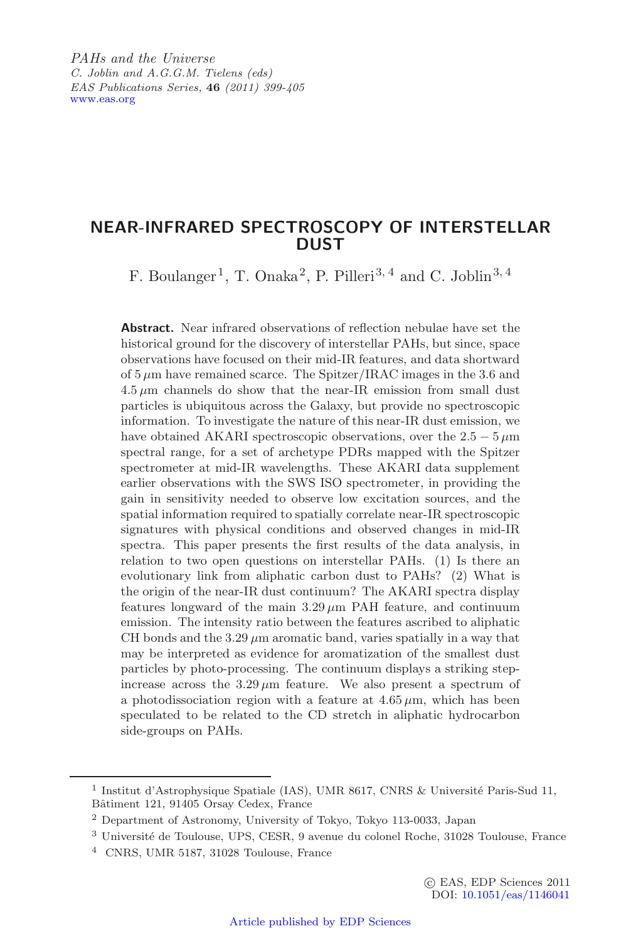*PAHs and the Universe C. Joblin and A.G.G.M. Tielens (eds) EAS Publications Series,* **46** *(2011) 399-405* [www.eas.org](http://www.eas.org)

# **NEAR-INFRARED SPECTROSCOPY OF INTERSTELLAR DUST**

F. Boulanger1, T. Onaka2, P. Pilleri3*,* <sup>4</sup> and C. Joblin3*,* <sup>4</sup>

**Abstract.** Near infrared observations of reflection nebulae have set the historical ground for the discovery of interstellar PAHs, but since, space observations have focused on their mid-IR features, and data shortward of 5 *µ*m have remained scarce. The Spitzer/IRAC images in the 3.6 and  $4.5 \mu m$  channels do show that the near-IR emission from small dust particles is ubiquitous across the Galaxy, but provide no spectroscopic information. To investigate the nature of this near-IR dust emission, we have obtained AKARI spectroscopic observations, over the  $2.5 - 5 \,\mu m$ spectral range, for a set of archetype PDRs mapped with the Spitzer spectrometer at mid-IR wavelengths. These AKARI data supplement earlier observations with the SWS ISO spectrometer, in providing the gain in sensitivity needed to observe low excitation sources, and the spatial information required to spatially correlate near-IR spectroscopic signatures with physical conditions and observed changes in mid-IR spectra. This paper presents the first results of the data analysis, in relation to two open questions on interstellar PAHs. (1) Is there an evolutionary link from aliphatic carbon dust to PAHs? (2) What is the origin of the near-IR dust continuum? The AKARI spectra display features longward of the main  $3.29 \mu m$  PAH feature, and continuum emission. The intensity ratio between the features ascribed to aliphatic CH bonds and the  $3.29 \mu m$  aromatic band, varies spatially in a way that may be interpreted as evidence for aromatization of the smallest dust particles by photo-processing. The continuum displays a striking stepincrease across the  $3.29 \mu m$  feature. We also present a spectrum of a photodissociation region with a feature at  $4.65 \mu m$ , which has been speculated to be related to the CD stretch in aliphatic hydrocarbon side-groups on PAHs.

<sup>&</sup>lt;sup>1</sup> Institut d'Astrophysique Spatiale (IAS), UMR 8617, CNRS & Université Paris-Sud 11, Bâtiment 121, 91405 Orsay Cedex, France

<sup>2</sup> Department of Astronomy, University of Tokyo, Tokyo 113-0033, Japan

<sup>&</sup>lt;sup>3</sup> Université de Toulouse, UPS, CESR, 9 avenue du colonel Roche, 31028 Toulouse, France

<sup>4</sup> CNRS, UMR 5187, 31028 Toulouse, France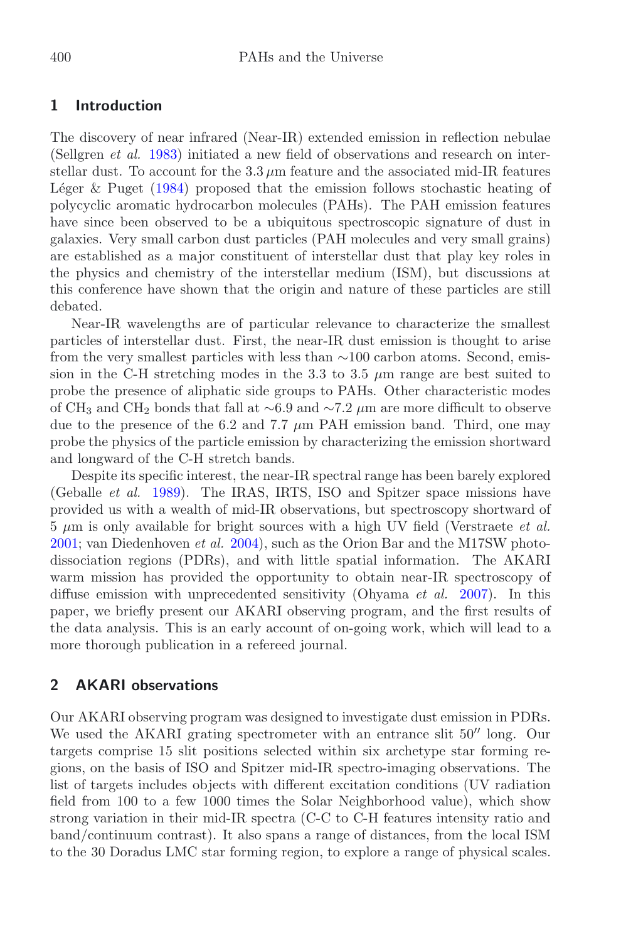## **1 Introduction**

The discovery of near infrared (Near-IR) extended emission in reflection nebulae (Sellgren *et al.* [1983\)](#page-6-0) initiated a new field of observations and research on interstellar dust. To account for the  $3.3 \mu m$  feature and the associated mid-IR features Léger & Puget  $(1984)$  $(1984)$  proposed that the emission follows stochastic heating of polycyclic aromatic hydrocarbon molecules (PAHs). The PAH emission features have since been observed to be a ubiquitous spectroscopic signature of dust in galaxies. Very small carbon dust particles (PAH molecules and very small grains) are established as a major constituent of interstellar dust that play key roles in the physics and chemistry of the interstellar medium (ISM), but discussions at this conference have shown that the origin and nature of these particles are still debated.

Near-IR wavelengths are of particular relevance to characterize the smallest particles of interstellar dust. First, the near-IR dust emission is thought to arise from the very smallest particles with less than ∼100 carbon atoms. Second, emission in the C-H stretching modes in the 3.3 to 3.5  $\mu$ m range are best suited to probe the presence of aliphatic side groups to PAHs. Other characteristic modes of CH<sup>3</sup> and CH<sup>2</sup> bonds that fall at ∼6.9 and ∼7*.*2 *µ*m are more difficult to observe due to the presence of the 6.2 and 7.7  $\mu$ m PAH emission band. Third, one may probe the physics of the particle emission by characterizing the emission shortward and longward of the C-H stretch bands.

Despite its specific interest, the near-IR spectral range has been barely explored (Geballe *et al.* [1989\)](#page-5-1). The IRAS, IRTS, ISO and Spitzer space missions have provided us with a wealth of mid-IR observations, but spectroscopy shortward of 5 *µ*m is only available for bright sources with a high UV field (Verstraete *et al.* [2001;](#page-6-1) van Diedenhoven *et al.* [2004\)](#page-6-2), such as the Orion Bar and the M17SW photodissociation regions (PDRs), and with little spatial information. The AKARI warm mission has provided the opportunity to obtain near-IR spectroscopy of diffuse emission with unprecedented sensitivity (Ohyama *et al.* [2007\)](#page-6-3). In this paper, we briefly present our AKARI observing program, and the first results of the data analysis. This is an early account of on-going work, which will lead to a more thorough publication in a refereed journal.

## **2 AKARI observations**

Our AKARI observing program was designed to investigate dust emission in PDRs. We used the AKARI grating spectrometer with an entrance slit  $50''$  long. Our targets comprise 15 slit positions selected within six archetype star forming regions, on the basis of ISO and Spitzer mid-IR spectro-imaging observations. The list of targets includes objects with different excitation conditions (UV radiation field from 100 to a few 1000 times the Solar Neighborhood value), which show strong variation in their mid-IR spectra (C-C to C-H features intensity ratio and band/continuum contrast). It also spans a range of distances, from the local ISM to the 30 Doradus LMC star forming region, to explore a range of physical scales.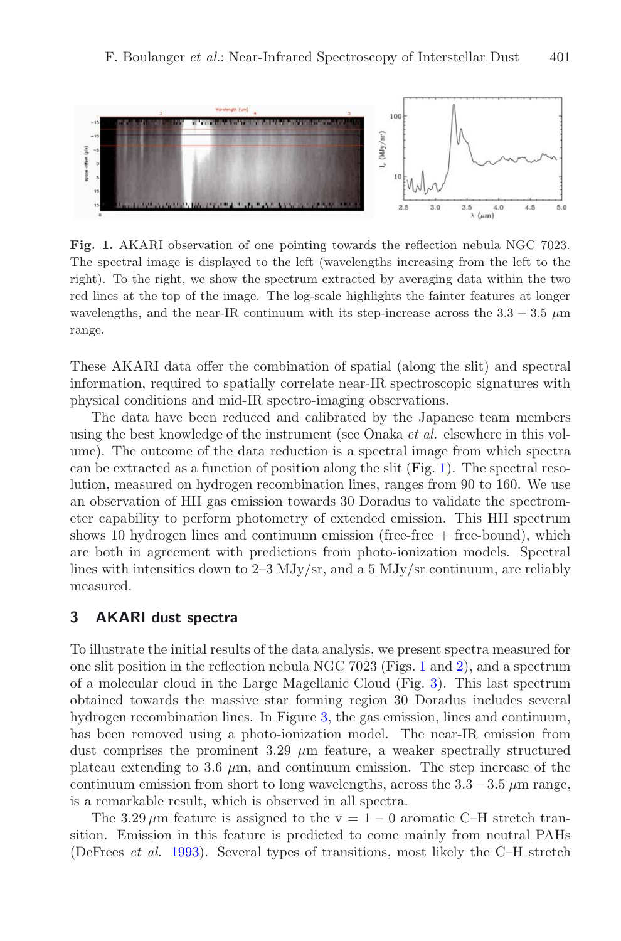<span id="page-2-0"></span>

**Fig. 1.** AKARI observation of one pointing towards the reflection nebula NGC 7023. The spectral image is displayed to the left (wavelengths increasing from the left to the right). To the right, we show the spectrum extracted by averaging data within the two red lines at the top of the image. The log-scale highlights the fainter features at longer wavelengths, and the near-IR continuum with its step-increase across the  $3.3 - 3.5 \mu m$ range.

These AKARI data offer the combination of spatial (along the slit) and spectral information, required to spatially correlate near-IR spectroscopic signatures with physical conditions and mid-IR spectro-imaging observations.

The data have been reduced and calibrated by the Japanese team members using the best knowledge of the instrument (see Onaka *et al.* elsewhere in this volume). The outcome of the data reduction is a spectral image from which spectra can be extracted as a function of position along the slit (Fig. [1\)](#page-2-0). The spectral resolution, measured on hydrogen recombination lines, ranges from 90 to 160. We use an observation of HII gas emission towards 30 Doradus to validate the spectrometer capability to perform photometry of extended emission. This HII spectrum shows 10 hydrogen lines and continuum emission (free-free  $+$  free-bound), which are both in agreement with predictions from photo-ionization models. Spectral lines with intensities down to  $2-3$  MJy/sr, and a 5 MJy/sr continuum, are reliably measured.

## **3 AKARI dust spectra**

To illustrate the initial results of the data analysis, we present spectra measured for one slit position in the reflection nebula NGC 7023 (Figs. [1](#page-2-0) and [2\)](#page-3-0), and a spectrum of a molecular cloud in the Large Magellanic Cloud (Fig. [3\)](#page-4-0). This last spectrum obtained towards the massive star forming region 30 Doradus includes several hydrogen recombination lines. In Figure [3,](#page-4-0) the gas emission, lines and continuum, has been removed using a photo-ionization model. The near-IR emission from dust comprises the prominent  $3.29 \mu m$  feature, a weaker spectrally structured plateau extending to 3.6  $\mu$ m, and continuum emission. The step increase of the continuum emission from short to long wavelengths, across the  $3.3-3.5 \mu$ m range, is a remarkable result, which is observed in all spectra.

The  $3.29 \,\mu\text{m}$  feature is assigned to the v =  $1 - 0$  aromatic C–H stretch transition. Emission in this feature is predicted to come mainly from neutral PAHs (DeFrees *et al.* [1993\)](#page-5-2). Several types of transitions, most likely the C–H stretch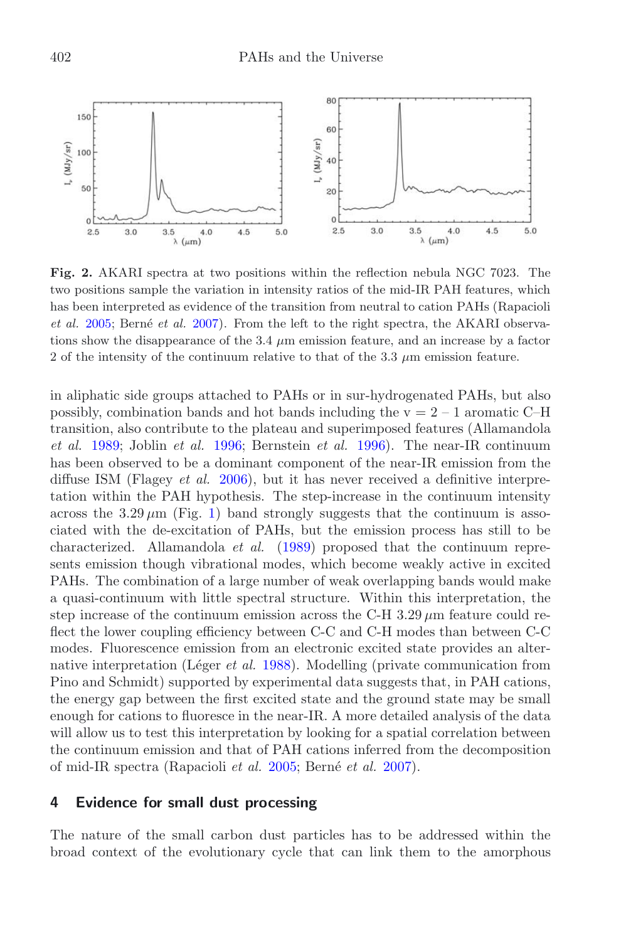<span id="page-3-0"></span>

**Fig. 2.** AKARI spectra at two positions within the reflection nebula NGC 7023. The two positions sample the variation in intensity ratios of the mid-IR PAH features, which has been interpreted as evidence of the transition from neutral to cation PAHs (Rapacioli *et al.* [2005;](#page-6-4) Berné *et al.* [2007\)](#page-5-3). From the left to the right spectra, the AKARI observations show the disappearance of the 3.4  $\mu$ m emission feature, and an increase by a factor 2 of the intensity of the continuum relative to that of the 3.3 *µ*m emission feature.

in aliphatic side groups attached to PAHs or in sur-hydrogenated PAHs, but also possibly, combination bands and hot bands including the  $v = 2 - 1$  aromatic C–H transition, also contribute to the plateau and superimposed features (Allamandola *et al.* [1989;](#page-5-4) Joblin *et al.* [1996](#page-5-5); Bernstein *et al.* [1996\)](#page-5-6). The near-IR continuum has been observed to be a dominant component of the near-IR emission from the diffuse ISM (Flagey *et al.* [2006](#page-5-7)), but it has never received a definitive interpretation within the PAH hypothesis. The step-increase in the continuum intensity across the  $3.29 \,\mu m$  (Fig. [1\)](#page-2-0) band strongly suggests that the continuum is associated with the de-excitation of PAHs, but the emission process has still to be characterized. Allamandola *et al.* [\(1989\)](#page-5-4) proposed that the continuum represents emission though vibrational modes, which become weakly active in excited PAHs. The combination of a large number of weak overlapping bands would make a quasi-continuum with little spectral structure. Within this interpretation, the step increase of the continuum emission across the C-H  $3.29 \mu m$  feature could reflect the lower coupling efficiency between C-C and C-H modes than between C-C modes. Fluorescence emission from an electronic excited state provides an alternative interpretation (Léger *et al.* [1988\)](#page-5-8). Modelling (private communication from Pino and Schmidt) supported by experimental data suggests that, in PAH cations, the energy gap between the first excited state and the ground state may be small enough for cations to fluoresce in the near-IR. A more detailed analysis of the data will allow us to test this interpretation by looking for a spatial correlation between the continuum emission and that of PAH cations inferred from the decomposition of mid-IR spectra (Rapacioli *et al.* [2005;](#page-6-4) Bern´e *et al.* [2007](#page-5-3)).

### **4 Evidence for small dust processing**

The nature of the small carbon dust particles has to be addressed within the broad context of the evolutionary cycle that can link them to the amorphous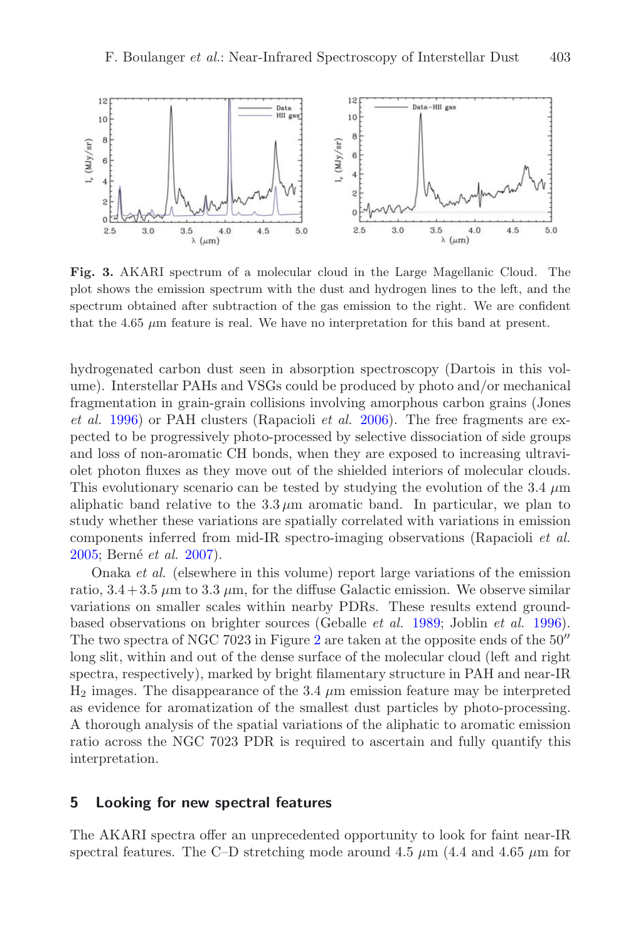<span id="page-4-0"></span>

**Fig. 3.** AKARI spectrum of a molecular cloud in the Large Magellanic Cloud. The plot shows the emission spectrum with the dust and hydrogen lines to the left, and the spectrum obtained after subtraction of the gas emission to the right. We are confident that the  $4.65 \mu m$  feature is real. We have no interpretation for this band at present.

hydrogenated carbon dust seen in absorption spectroscopy (Dartois in this volume). Interstellar PAHs and VSGs could be produced by photo and/or mechanical fragmentation in grain-grain collisions involving amorphous carbon grains (Jones *et al.* [1996\)](#page-5-9) or PAH clusters (Rapacioli *et al.* [2006\)](#page-6-5). The free fragments are expected to be progressively photo-processed by selective dissociation of side groups and loss of non-aromatic CH bonds, when they are exposed to increasing ultraviolet photon fluxes as they move out of the shielded interiors of molecular clouds. This evolutionary scenario can be tested by studying the evolution of the 3.4 *µ*m aliphatic band relative to the  $3.3 \mu$ m aromatic band. In particular, we plan to study whether these variations are spatially correlated with variations in emission components inferred from mid-IR spectro-imaging observations (Rapacioli *et al.* [2005;](#page-6-4) Bern´e *et al.* [2007\)](#page-5-3).

Onaka *et al.* (elsewhere in this volume) report large variations of the emission ratio,  $3.4 + 3.5 \mu m$  to  $3.3 \mu m$ , for the diffuse Galactic emission. We observe similar variations on smaller scales within nearby PDRs. These results extend groundbased observations on brighter sources (Geballe *et al.* [1989;](#page-5-1) Joblin *et al.* [1996\)](#page-5-5). The two spectra of NGC 70[2](#page-3-0)3 in Figure 2 are taken at the opposite ends of the  $50''$ long slit, within and out of the dense surface of the molecular cloud (left and right spectra, respectively), marked by bright filamentary structure in PAH and near-IR  $H_2$  images. The disappearance of the 3.4  $\mu$ m emission feature may be interpreted as evidence for aromatization of the smallest dust particles by photo-processing. A thorough analysis of the spatial variations of the aliphatic to aromatic emission ratio across the NGC 7023 PDR is required to ascertain and fully quantify this interpretation.

#### **5 Looking for new spectral features**

The AKARI spectra offer an unprecedented opportunity to look for faint near-IR spectral features. The C–D stretching mode around  $4.5 \mu m$  ( $4.4$  and  $4.65 \mu m$  for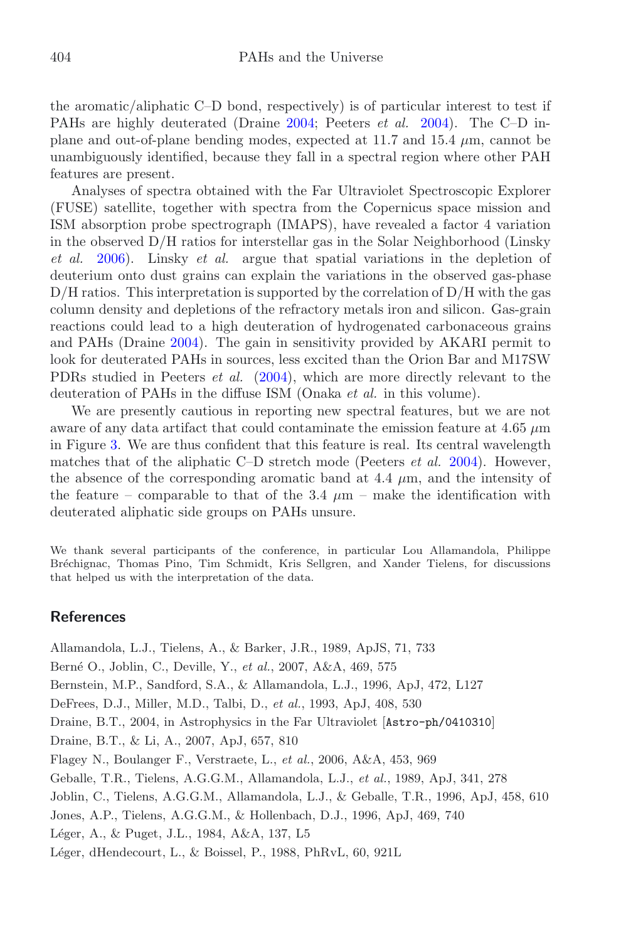the aromatic/aliphatic C–D bond, respectively) is of particular interest to test if PAHs are highly deuterated (Draine [2004;](#page-5-10) Peeters *et al.* [2004\)](#page-6-6). The C–D inplane and out-of-plane bending modes, expected at 11.7 and 15.4 *µ*m, cannot be unambiguously identified, because they fall in a spectral region where other PAH features are present.

Analyses of spectra obtained with the Far Ultraviolet Spectroscopic Explorer (FUSE) satellite, together with spectra from the Copernicus space mission and ISM absorption probe spectrograph (IMAPS), have revealed a factor 4 variation in the observed D/H ratios for interstellar gas in the Solar Neighborhood (Linsky *et al.* [2006\)](#page-6-7). Linsky *et al.* argue that spatial variations in the depletion of deuterium onto dust grains can explain the variations in the observed gas-phase  $D/H$  ratios. This interpretation is supported by the correlation of  $D/H$  with the gas column density and depletions of the refractory metals iron and silicon. Gas-grain reactions could lead to a high deuteration of hydrogenated carbonaceous grains and PAHs (Draine [2004\)](#page-5-10). The gain in sensitivity provided by AKARI permit to look for deuterated PAHs in sources, less excited than the Orion Bar and M17SW PDRs studied in Peeters *et al.* [\(2004\)](#page-6-6), which are more directly relevant to the deuteration of PAHs in the diffuse ISM (Onaka *et al.* in this volume).

We are presently cautious in reporting new spectral features, but we are not aware of any data artifact that could contaminate the emission feature at 4.65 *µ*m in Figure [3.](#page-4-0) We are thus confident that this feature is real. Its central wavelength matches that of the aliphatic C–D stretch mode (Peeters *et al.* [2004\)](#page-6-6). However, the absence of the corresponding aromatic band at 4.4 *µ*m, and the intensity of the feature – comparable to that of the 3.4  $\mu$ m – make the identification with deuterated aliphatic side groups on PAHs unsure.

We thank several participants of the conference, in particular Lou Allamandola, Philippe Br´echignac, Thomas Pino, Tim Schmidt, Kris Sellgren, and Xander Tielens, for discussions that helped us with the interpretation of the data.

#### **References**

<span id="page-5-10"></span><span id="page-5-9"></span><span id="page-5-8"></span><span id="page-5-7"></span><span id="page-5-6"></span><span id="page-5-5"></span><span id="page-5-4"></span><span id="page-5-3"></span><span id="page-5-2"></span><span id="page-5-1"></span><span id="page-5-0"></span>Allamandola, L.J., Tielens, A., & Barker, J.R., 1989, ApJS, 71, 733 Bern´e O., Joblin, C., Deville, Y., *et al.*, 2007, A&A, 469, 575 Bernstein, M.P., Sandford, S.A., & Allamandola, L.J., 1996, ApJ, 472, L127 DeFrees, D.J., Miller, M.D., Talbi, D., *et al.*, 1993, ApJ, 408, 530 Draine, B.T., 2004, in Astrophysics in the Far Ultraviolet [Astro-ph/0410310] Draine, B.T., & Li, A., 2007, ApJ, 657, 810 Flagey N., Boulanger F., Verstraete, L., *et al.*, 2006, A&A, 453, 969 Geballe, T.R., Tielens, A.G.G.M., Allamandola, L.J., *et al.*, 1989, ApJ, 341, 278 Joblin, C., Tielens, A.G.G.M., Allamandola, L.J., & Geballe, T.R., 1996, ApJ, 458, 610 Jones, A.P., Tielens, A.G.G.M., & Hollenbach, D.J., 1996, ApJ, 469, 740 L´eger, A., & Puget, J.L., 1984, A&A, 137, L5 Léger, dHendecourt, L., & Boissel, P., 1988, PhRvL, 60, 921L